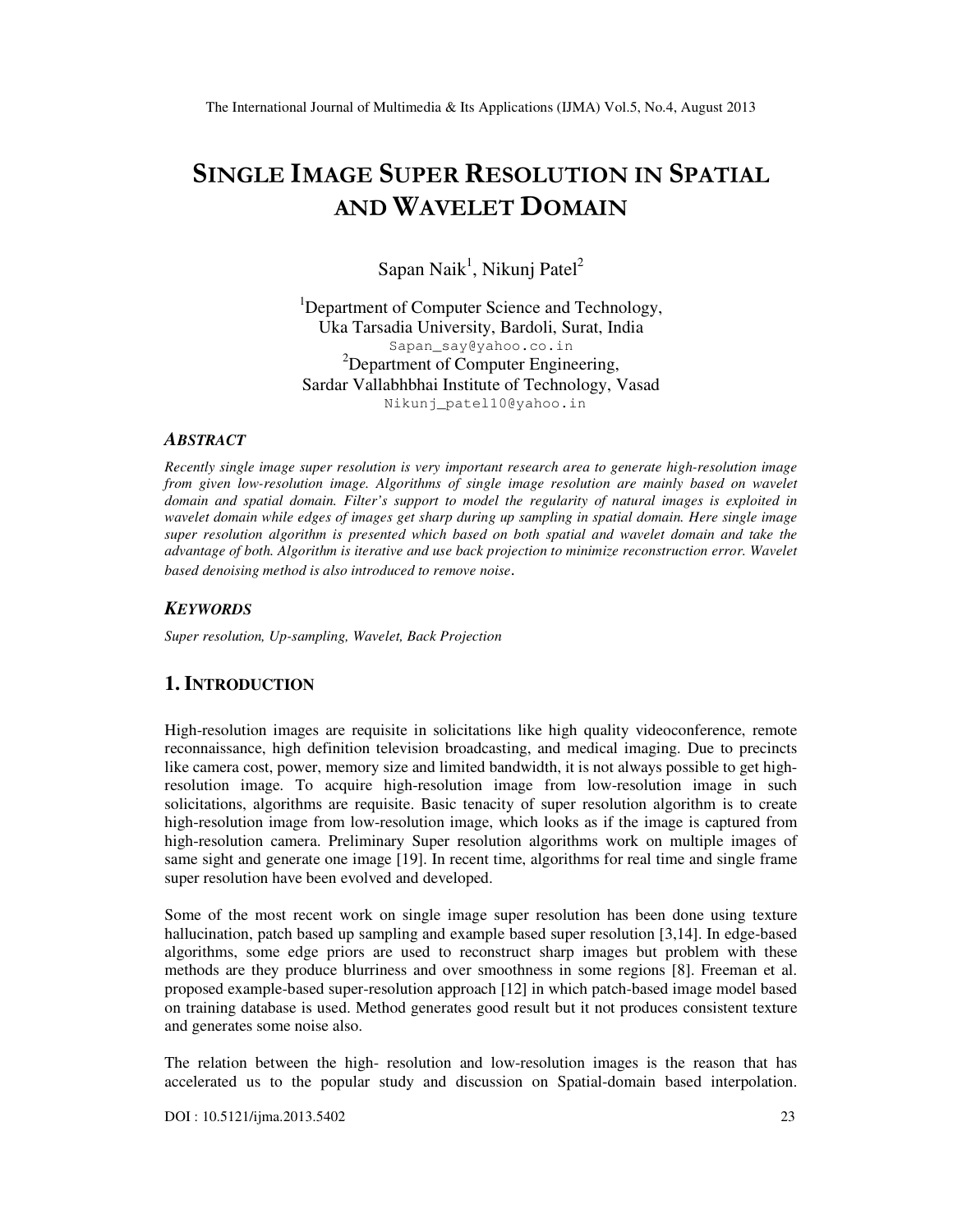# SINGLE IMAGE SUPER RESOLUTION IN SPATIAL AND WAVELET DOMAIN

Sapan Naik<sup>1</sup>, Nikunj Patel<sup>2</sup>

<sup>1</sup>Department of Computer Science and Technology, Uka Tarsadia University, Bardoli, Surat, India Sapan\_say@yahoo.co.in <sup>2</sup>Department of Computer Engineering, Sardar Vallabhbhai Institute of Technology, Vasad Nikunj\_patel10@yahoo.in

#### *ABSTRACT*

*Recently single image super resolution is very important research area to generate high-resolution image*  from given low-resolution image. Algorithms of single image resolution are mainly based on wavelet *domain and spatial domain. Filter's support to model the regularity of natural images is exploited in wavelet domain while edges of images get sharp during up sampling in spatial domain. Here single image super resolution algorithm is presented which based on both spatial and wavelet domain and take the advantage of both. Algorithm is iterative and use back projection to minimize reconstruction error. Wavelet based denoising method is also introduced to remove noise*.

#### *KEYWORDS*

*Super resolution, Up-sampling, Wavelet, Back Projection* 

# **1. INTRODUCTION**

High-resolution images are requisite in solicitations like high quality videoconference, remote reconnaissance, high definition television broadcasting, and medical imaging. Due to precincts like camera cost, power, memory size and limited bandwidth, it is not always possible to get highresolution image. To acquire high-resolution image from low-resolution image in such solicitations, algorithms are requisite. Basic tenacity of super resolution algorithm is to create high-resolution image from low-resolution image, which looks as if the image is captured from high-resolution camera. Preliminary Super resolution algorithms work on multiple images of same sight and generate one image [19]. In recent time, algorithms for real time and single frame super resolution have been evolved and developed.

Some of the most recent work on single image super resolution has been done using texture hallucination, patch based up sampling and example based super resolution [3,14]. In edge-based algorithms, some edge priors are used to reconstruct sharp images but problem with these methods are they produce blurriness and over smoothness in some regions [8]. Freeman et al. proposed example-based super-resolution approach [12] in which patch-based image model based on training database is used. Method generates good result but it not produces consistent texture and generates some noise also.

The relation between the high- resolution and low-resolution images is the reason that has accelerated us to the popular study and discussion on Spatial-domain based interpolation.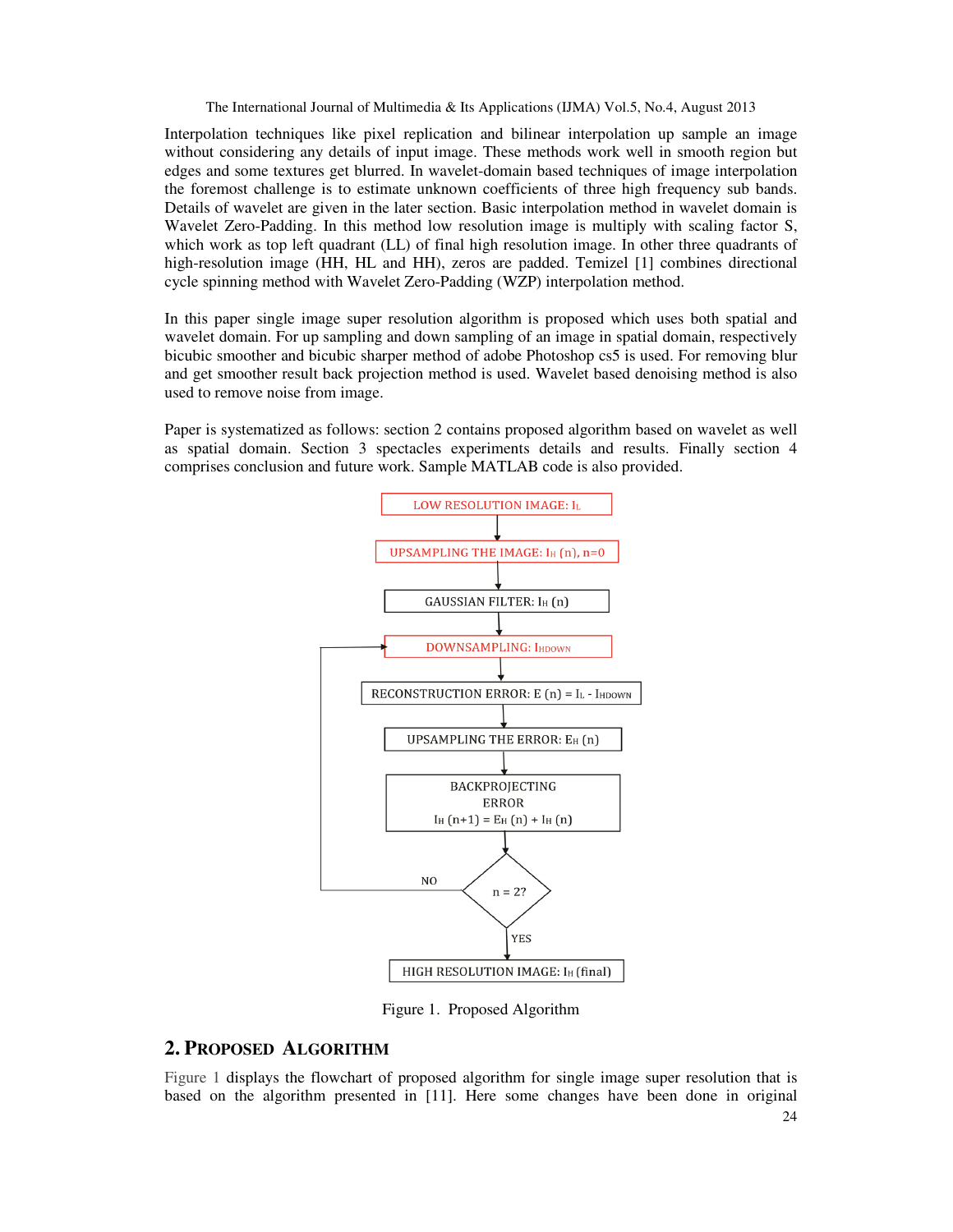Interpolation techniques like pixel replication and bilinear interpolation up sample an image without considering any details of input image. These methods work well in smooth region but edges and some textures get blurred. In wavelet-domain based techniques of image interpolation the foremost challenge is to estimate unknown coefficients of three high frequency sub bands. Details of wavelet are given in the later section. Basic interpolation method in wavelet domain is Wavelet Zero-Padding. In this method low resolution image is multiply with scaling factor S, which work as top left quadrant (LL) of final high resolution image. In other three quadrants of high-resolution image (HH, HL and HH), zeros are padded. Temizel [1] combines directional cycle spinning method with Wavelet Zero-Padding (WZP) interpolation method.

In this paper single image super resolution algorithm is proposed which uses both spatial and wavelet domain. For up sampling and down sampling of an image in spatial domain, respectively bicubic smoother and bicubic sharper method of adobe Photoshop cs5 is used. For removing blur and get smoother result back projection method is used. Wavelet based denoising method is also used to remove noise from image.

Paper is systematized as follows: section 2 contains proposed algorithm based on wavelet as well as spatial domain. Section 3 spectacles experiments details and results. Finally section 4 comprises conclusion and future work. Sample MATLAB code is also provided.



Figure 1. Proposed Algorithm

# **2. PROPOSED ALGORITHM**

Figure 1 displays the flowchart of proposed algorithm for single image super resolution that is based on the algorithm presented in [11]. Here some changes have been done in original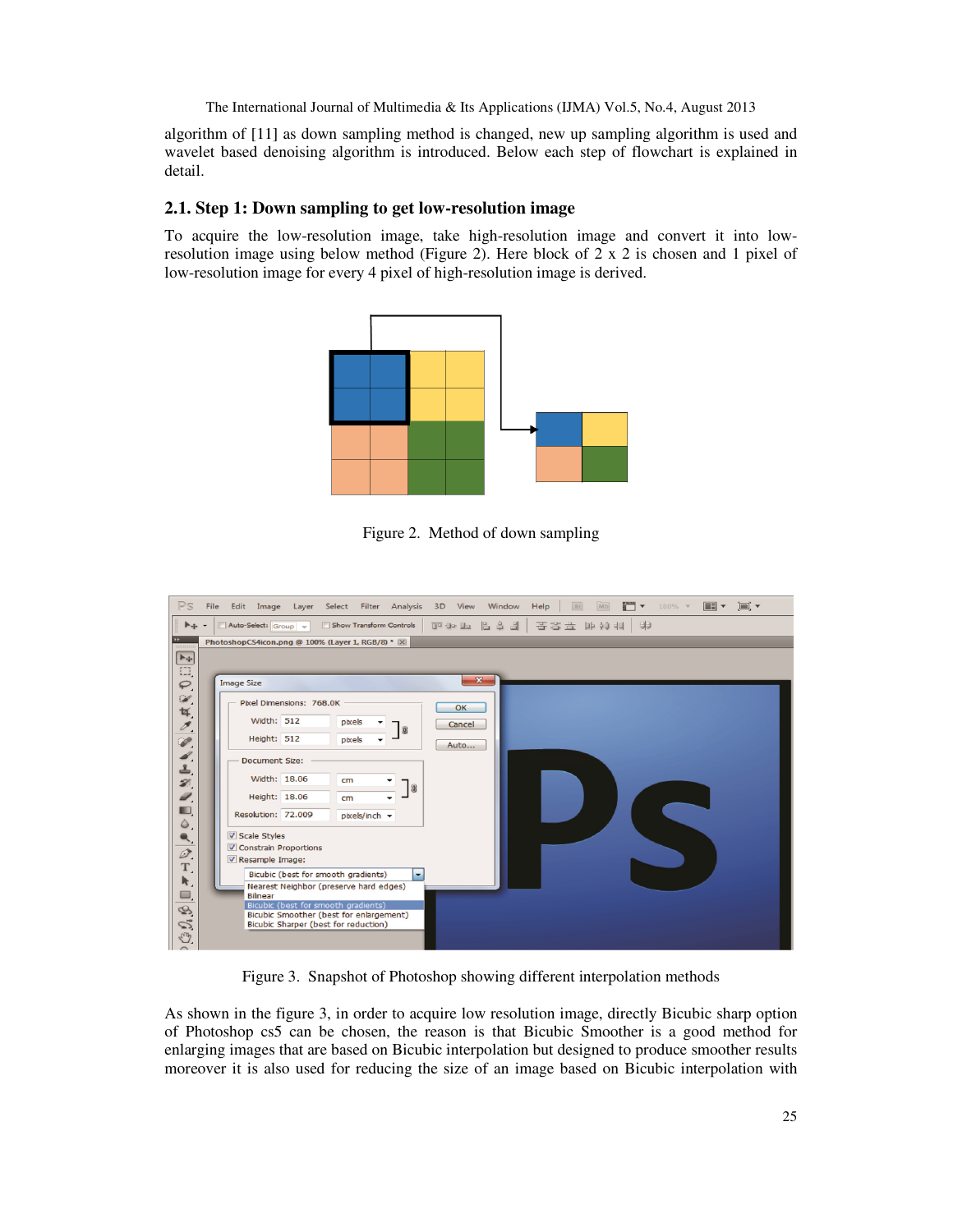algorithm of [11] as down sampling method is changed, new up sampling algorithm is used and wavelet based denoising algorithm is introduced. Below each step of flowchart is explained in detail.

## **2.1. Step 1: Down sampling to get low-resolution image**

To acquire the low-resolution image, take high-resolution image and convert it into lowresolution image using below method (Figure 2). Here block of 2 x 2 is chosen and 1 pixel of low-resolution image for every 4 pixel of high-resolution image is derived.



Figure 2. Method of down sampling



Figure 3. Snapshot of Photoshop showing different interpolation methods

As shown in the figure 3, in order to acquire low resolution image, directly Bicubic sharp option of Photoshop cs5 can be chosen, the reason is that Bicubic Smoother is a good method for enlarging images that are based on Bicubic interpolation but designed to produce smoother results moreover it is also used for reducing the size of an image based on Bicubic interpolation with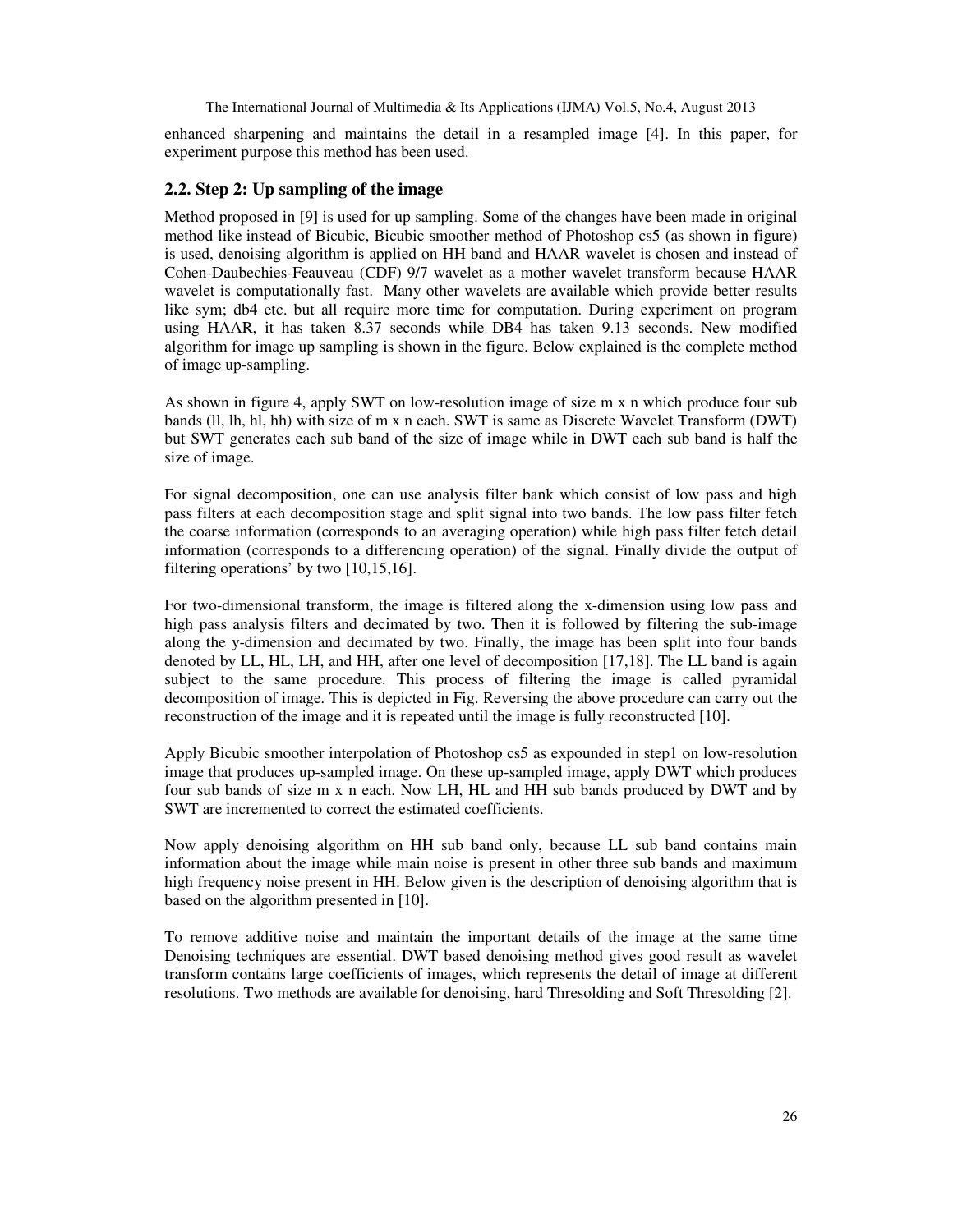enhanced sharpening and maintains the detail in a resampled image [4]. In this paper, for experiment purpose this method has been used.

#### **2.2. Step 2: Up sampling of the image**

Method proposed in [9] is used for up sampling. Some of the changes have been made in original method like instead of Bicubic, Bicubic smoother method of Photoshop cs5 (as shown in figure) is used, denoising algorithm is applied on HH band and HAAR wavelet is chosen and instead of Cohen-Daubechies-Feauveau (CDF) 9/7 wavelet as a mother wavelet transform because HAAR wavelet is computationally fast. Many other wavelets are available which provide better results like sym; db4 etc. but all require more time for computation. During experiment on program using HAAR, it has taken 8.37 seconds while DB4 has taken 9.13 seconds. New modified algorithm for image up sampling is shown in the figure. Below explained is the complete method of image up-sampling.

As shown in figure 4, apply SWT on low-resolution image of size m x n which produce four sub bands (ll, lh, hl, hh) with size of m x n each. SWT is same as Discrete Wavelet Transform (DWT) but SWT generates each sub band of the size of image while in DWT each sub band is half the size of image.

For signal decomposition, one can use analysis filter bank which consist of low pass and high pass filters at each decomposition stage and split signal into two bands. The low pass filter fetch the coarse information (corresponds to an averaging operation) while high pass filter fetch detail information (corresponds to a differencing operation) of the signal. Finally divide the output of filtering operations' by two [10,15,16].

For two-dimensional transform, the image is filtered along the x-dimension using low pass and high pass analysis filters and decimated by two. Then it is followed by filtering the sub-image along the y-dimension and decimated by two. Finally, the image has been split into four bands denoted by LL, HL, LH, and HH, after one level of decomposition [17,18]. The LL band is again subject to the same procedure. This process of filtering the image is called pyramidal decomposition of image. This is depicted in Fig. Reversing the above procedure can carry out the reconstruction of the image and it is repeated until the image is fully reconstructed [10].

Apply Bicubic smoother interpolation of Photoshop cs5 as expounded in step1 on low-resolution image that produces up-sampled image. On these up-sampled image, apply DWT which produces four sub bands of size m x n each. Now LH, HL and HH sub bands produced by DWT and by SWT are incremented to correct the estimated coefficients.

Now apply denoising algorithm on HH sub band only, because LL sub band contains main information about the image while main noise is present in other three sub bands and maximum high frequency noise present in HH. Below given is the description of denoising algorithm that is based on the algorithm presented in [10].

To remove additive noise and maintain the important details of the image at the same time Denoising techniques are essential. DWT based denoising method gives good result as wavelet transform contains large coefficients of images, which represents the detail of image at different resolutions. Two methods are available for denoising, hard Thresolding and Soft Thresolding [2].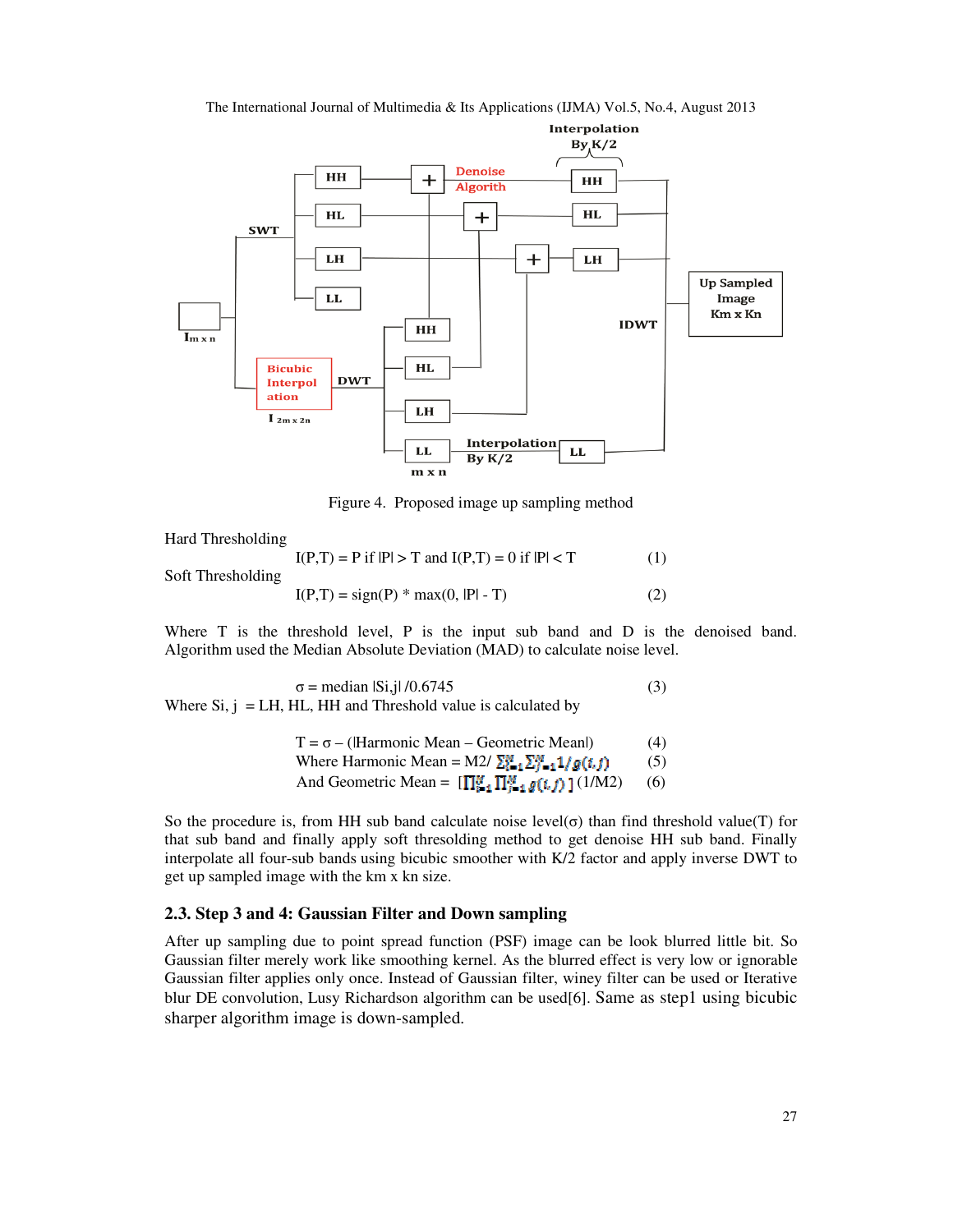

The International Journal of Multimedia & Its Applications (IJMA) Vol.5, No.4, August 2013

Figure 4. Proposed image up sampling method

Hard Thresholding

 $I(P,T) = P$  if  $|P| > T$  and  $I(P,T) = 0$  if  $|P| < T$  (1) Soft Thresholding  $I(P,T) = sign(P) * max(0, |P| - T)$  (2)

Where T is the threshold level, P is the input sub band and D is the denoised band. Algorithm used the Median Absolute Deviation (MAD) to calculate noise level.

 $σ = median |Si,j| / 0.6745$  (3) Where  $Si$ ,  $j = LH$ ,  $HL$ ,  $HH$  and Threshold value is calculated by

$$
T = \sigma - (Harmonic Mean - Geometric Mean)
$$
 (4)  
Where Harmonic Mean = M2/ $\sum_{i=1}^{M} \sum_{j=1}^{M} 1/g(i, j)$  (5)  
And Geometric Mean =  $[\prod_{i=1}^{M} \prod_{i=1}^{M} g(i, j)] (1/M2)$  (6)

So the procedure is, from HH sub band calculate noise level( $\sigma$ ) than find threshold value(T) for that sub band and finally apply soft thresolding method to get denoise HH sub band. Finally interpolate all four-sub bands using bicubic smoother with K/2 factor and apply inverse DWT to get up sampled image with the km x kn size.

## **2.3. Step 3 and 4: Gaussian Filter and Down sampling**

After up sampling due to point spread function (PSF) image can be look blurred little bit. So Gaussian filter merely work like smoothing kernel. As the blurred effect is very low or ignorable Gaussian filter applies only once. Instead of Gaussian filter, winey filter can be used or Iterative blur DE convolution, Lusy Richardson algorithm can be used[6]. Same as step1 using bicubic sharper algorithm image is down-sampled.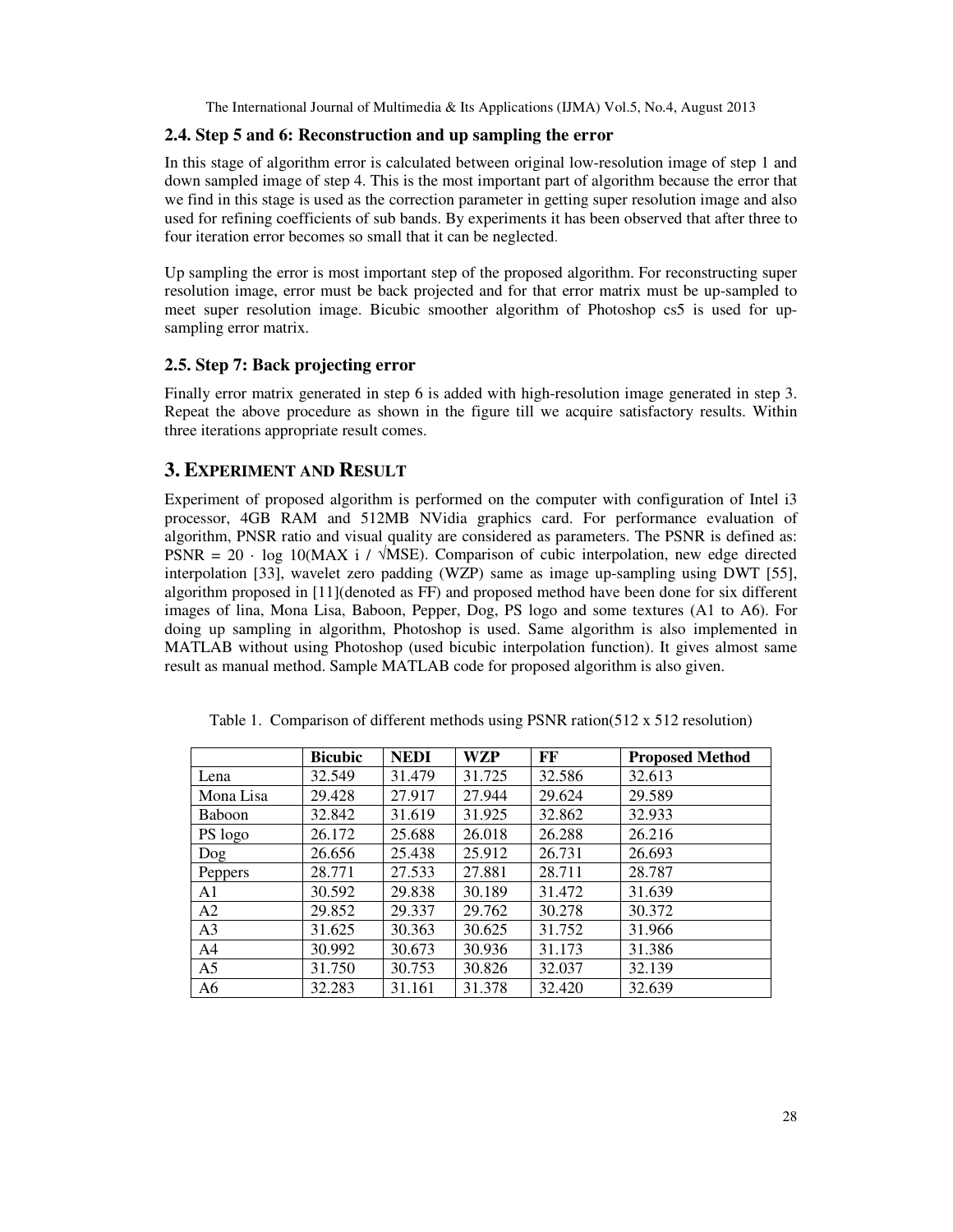## **2.4. Step 5 and 6: Reconstruction and up sampling the error**

In this stage of algorithm error is calculated between original low-resolution image of step 1 and down sampled image of step 4. This is the most important part of algorithm because the error that we find in this stage is used as the correction parameter in getting super resolution image and also used for refining coefficients of sub bands. By experiments it has been observed that after three to four iteration error becomes so small that it can be neglected.

Up sampling the error is most important step of the proposed algorithm. For reconstructing super resolution image, error must be back projected and for that error matrix must be up-sampled to meet super resolution image. Bicubic smoother algorithm of Photoshop cs5 is used for upsampling error matrix.

## **2.5. Step 7: Back projecting error**

Finally error matrix generated in step 6 is added with high-resolution image generated in step 3. Repeat the above procedure as shown in the figure till we acquire satisfactory results. Within three iterations appropriate result comes.

# **3. EXPERIMENT AND RESULT**

Experiment of proposed algorithm is performed on the computer with configuration of Intel i3 processor, 4GB RAM and 512MB NVidia graphics card. For performance evaluation of algorithm, PNSR ratio and visual quality are considered as parameters. The PSNR is defined as: PSNR =  $20 \cdot \log 10(MAX \text{ i } / \sqrt{MSE})$ . Comparison of cubic interpolation, new edge directed interpolation [33], wavelet zero padding (WZP) same as image up-sampling using DWT [55], algorithm proposed in [11](denoted as FF) and proposed method have been done for six different images of lina, Mona Lisa, Baboon, Pepper, Dog, PS logo and some textures (A1 to A6). For doing up sampling in algorithm, Photoshop is used. Same algorithm is also implemented in MATLAB without using Photoshop (used bicubic interpolation function). It gives almost same result as manual method. Sample MATLAB code for proposed algorithm is also given.

|                | <b>Bicubic</b> | <b>NEDI</b> | WZP    | FF     | <b>Proposed Method</b> |
|----------------|----------------|-------------|--------|--------|------------------------|
| Lena           | 32.549         | 31.479      | 31.725 | 32.586 | 32.613                 |
| Mona Lisa      | 29.428         | 27.917      | 27.944 | 29.624 | 29.589                 |
| <b>Baboon</b>  | 32.842         | 31.619      | 31.925 | 32.862 | 32.933                 |
| PS logo        | 26.172         | 25.688      | 26.018 | 26.288 | 26.216                 |
| Dog            | 26.656         | 25.438      | 25.912 | 26.731 | 26.693                 |
| Peppers        | 28.771         | 27.533      | 27.881 | 28.711 | 28.787                 |
| A <sub>1</sub> | 30.592         | 29.838      | 30.189 | 31.472 | 31.639                 |
| A2             | 29.852         | 29.337      | 29.762 | 30.278 | 30.372                 |
| A <sub>3</sub> | 31.625         | 30.363      | 30.625 | 31.752 | 31.966                 |
| A <sub>4</sub> | 30.992         | 30.673      | 30.936 | 31.173 | 31.386                 |
| A <sub>5</sub> | 31.750         | 30.753      | 30.826 | 32.037 | 32.139                 |
| A <sub>6</sub> | 32.283         | 31.161      | 31.378 | 32.420 | 32.639                 |

Table 1. Comparison of different methods using PSNR ration(512 x 512 resolution)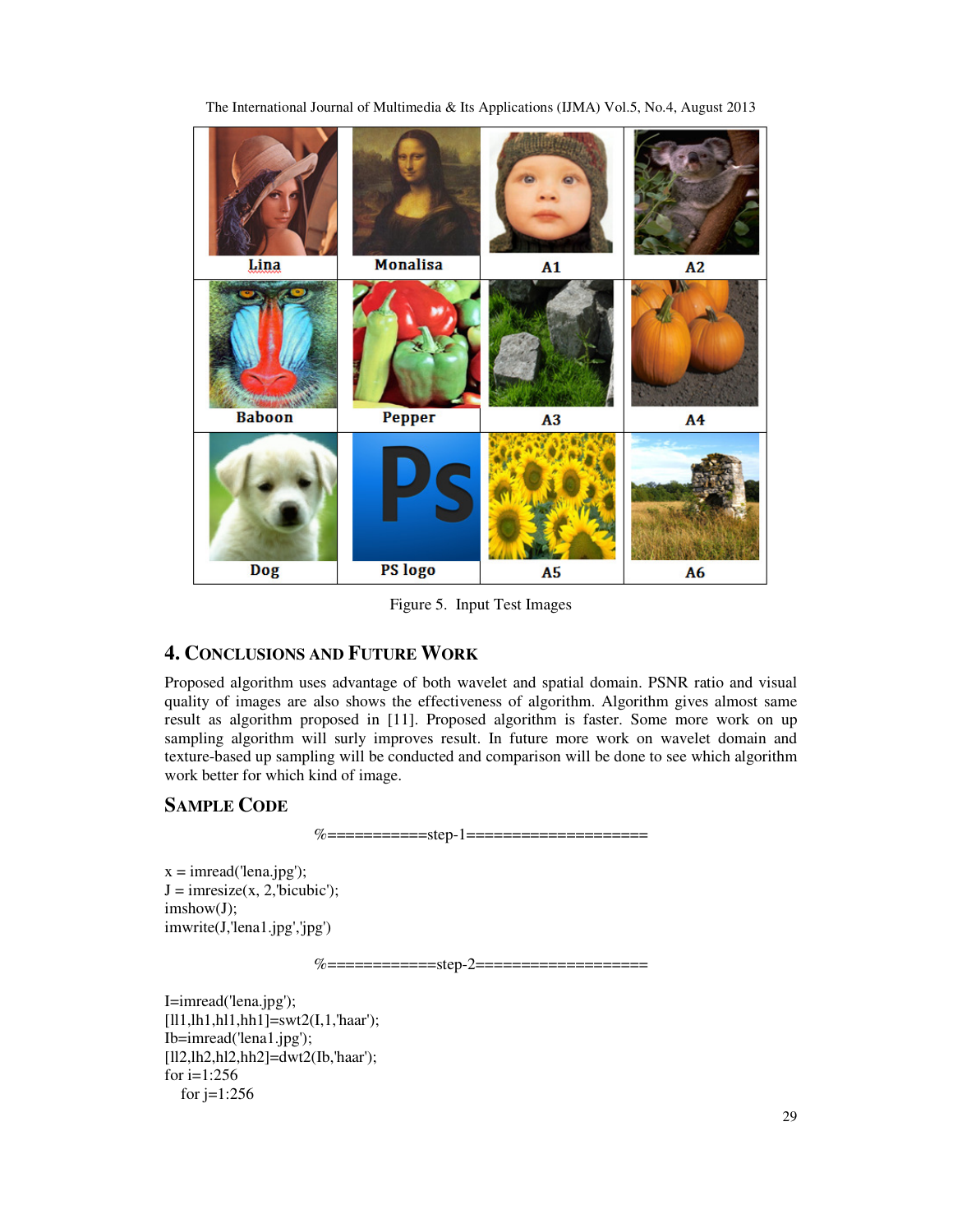

The International Journal of Multimedia & Its Applications (IJMA) Vol.5, No.4, August 2013

Figure 5. Input Test Images

# **4. CONCLUSIONS AND FUTURE WORK**

Proposed algorithm uses advantage of both wavelet and spatial domain. PSNR ratio and visual quality of images are also shows the effectiveness of algorithm. Algorithm gives almost same result as algorithm proposed in [11]. Proposed algorithm is faster. Some more work on up sampling algorithm will surly improves result. In future more work on wavelet domain and texture-based up sampling will be conducted and comparison will be done to see which algorithm work better for which kind of image.

# **SAMPLE CODE**

%============step-1=====================

 $x = \text{imread}(\text{lena.jpg});$  $J = \text{imresize}(x, 2, \text{'bicubic');$ imshow(J); imwrite(J,'lena1.jpg','jpg')

%=============step-2====================

I=imread('lena.jpg');  $[111,1h1,h11,hh1]=swt2(I,1, 'haar');$ Ib=imread('lena1.jpg'); [ll2,lh2,hl2,hh2]=dwt2(Ib,'haar'); for  $i=1:256$ for  $j=1:256$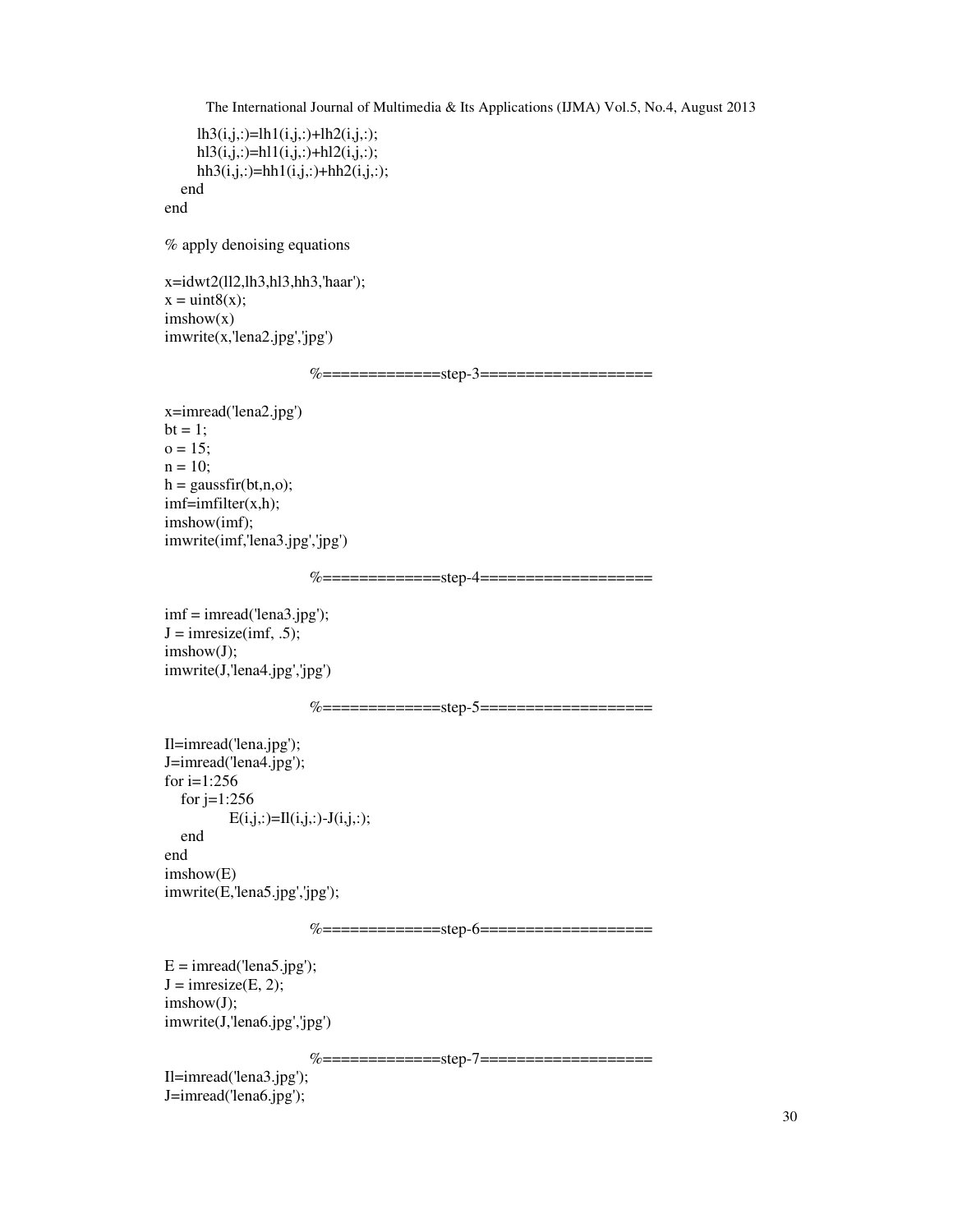```
lh3(i,j,:)=lh1(i,j,:)+lh2(i,j,:);h13(i,j,:) = h11(i,j,:) + h12(i,j,:);hh3(i,j,:)=hh1(i,j,:)+hh2(i,j,:);
 end
```
end

% apply denoising equations

x=idwt2(ll2,lh3,hl3,hh3,'haar');  $x = \text{uint8}(x);$  $imshow(x)$ imwrite(x,'lena2.jpg','jpg')

%==============step-3====================

```
x=imread('lena2.jpg') 
bt = 1;
o = 15;n = 10;h = gaussfir(bt,n,o);
imf=imfilter(x,h);
imshow(imf); 
imwrite(imf,'lena3.jpg','jpg')
```
%===============step-4====================

imf = imread('lena3.jpg');  $J = \text{imresize}(imf, .5);$ imshow(J); imwrite(J,'lena4.jpg','jpg')

```
%=============step-5===================
```

```
Il=imread('lena.jpg'); 
J=imread('lena4.jpg'); 
for i=1:256 
  for j=1:256E(i,j,:)=Il(i,j,:)-J(i,j,:);
   end 
end 
imshow(E) 
imwrite(E,'lena5.jpg','jpg');
```
%==============step-6====================

 $E = \text{imread}(\text{lena5.jpg});$  $J = \text{imresize}(E, 2);$ imshow(J); imwrite(J,'lena6.jpg','jpg')

%==============step-7====================

Il=imread('lena3.jpg'); J=imread('lena6.jpg');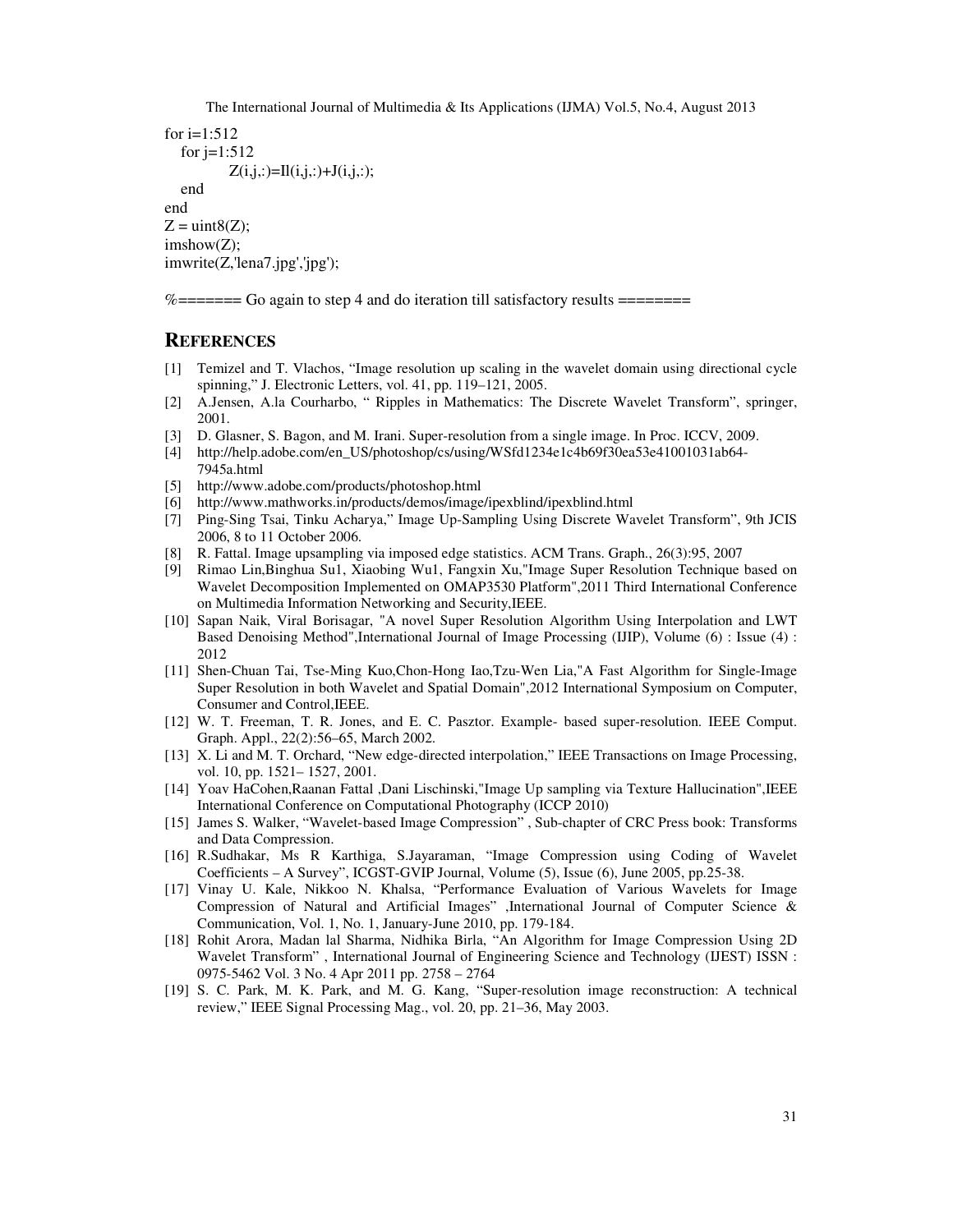```
for i=1:512for j=1:512Z(i,j,:)=Il(i,j,:)+J(i,j,:);
   end 
end 
Z = \text{uint8}(Z);
imshow(Z); 
imwrite(Z,'lena7.jpg','jpg');
```
%======= Go again to step 4 and do iteration till satisfactory results ========

### **REFERENCES**

- [1] Temizel and T. Vlachos, "Image resolution up scaling in the wavelet domain using directional cycle spinning," J. Electronic Letters, vol. 41, pp. 119–121, 2005.
- [2] A.Jensen, A.la Courharbo, " Ripples in Mathematics: The Discrete Wavelet Transform", springer, 2001.
- [3] D. Glasner, S. Bagon, and M. Irani. Super-resolution from a single image. In Proc. ICCV, 2009.
- [4] http://help.adobe.com/en\_US/photoshop/cs/using/WSfd1234e1c4b69f30ea53e41001031ab64- 7945a.html
- [5] http://www.adobe.com/products/photoshop.html
- [6] http://www.mathworks.in/products/demos/image/ipexblind/ipexblind.html
- [7] Ping-Sing Tsai, Tinku Acharya," Image Up-Sampling Using Discrete Wavelet Transform", 9th JCIS 2006, 8 to 11 October 2006.
- [8] R. Fattal. Image upsampling via imposed edge statistics. ACM Trans. Graph., 26(3):95, 2007
- [9] Rimao Lin,Binghua Su1, Xiaobing Wu1, Fangxin Xu,"Image Super Resolution Technique based on Wavelet Decomposition Implemented on OMAP3530 Platform",2011 Third International Conference on Multimedia Information Networking and Security,IEEE.
- [10] Sapan Naik, Viral Borisagar, "A novel Super Resolution Algorithm Using Interpolation and LWT Based Denoising Method",International Journal of Image Processing (IJIP), Volume (6) : Issue (4) : 2012
- [11] Shen-Chuan Tai, Tse-Ming Kuo,Chon-Hong Iao,Tzu-Wen Lia,"A Fast Algorithm for Single-Image Super Resolution in both Wavelet and Spatial Domain",2012 International Symposium on Computer, Consumer and Control,IEEE.
- [12] W. T. Freeman, T. R. Jones, and E. C. Pasztor. Example- based super-resolution. IEEE Comput. Graph. Appl., 22(2):56–65, March 2002.
- [13] X. Li and M. T. Orchard, "New edge-directed interpolation," IEEE Transactions on Image Processing, vol. 10, pp. 1521– 1527, 2001.
- [14] Yoav HaCohen,Raanan Fattal ,Dani Lischinski,"Image Up sampling via Texture Hallucination",IEEE International Conference on Computational Photography (ICCP 2010)
- [15] James S. Walker, "Wavelet-based Image Compression" , Sub-chapter of CRC Press book: Transforms and Data Compression.
- [16] R.Sudhakar, Ms R Karthiga, S.Jayaraman, "Image Compression using Coding of Wavelet Coefficients – A Survey", ICGST-GVIP Journal, Volume (5), Issue (6), June 2005, pp.25-38.
- [17] Vinay U. Kale, Nikkoo N. Khalsa, "Performance Evaluation of Various Wavelets for Image Compression of Natural and Artificial Images" ,International Journal of Computer Science & Communication, Vol. 1, No. 1, January-June 2010, pp. 179-184.
- [18] Rohit Arora, Madan lal Sharma, Nidhika Birla, "An Algorithm for Image Compression Using 2D Wavelet Transform" , International Journal of Engineering Science and Technology (IJEST) ISSN : 0975-5462 Vol. 3 No. 4 Apr 2011 pp. 2758 – 2764
- [19] S. C. Park, M. K. Park, and M. G. Kang, "Super-resolution image reconstruction: A technical review," IEEE Signal Processing Mag., vol. 20, pp. 21–36, May 2003.